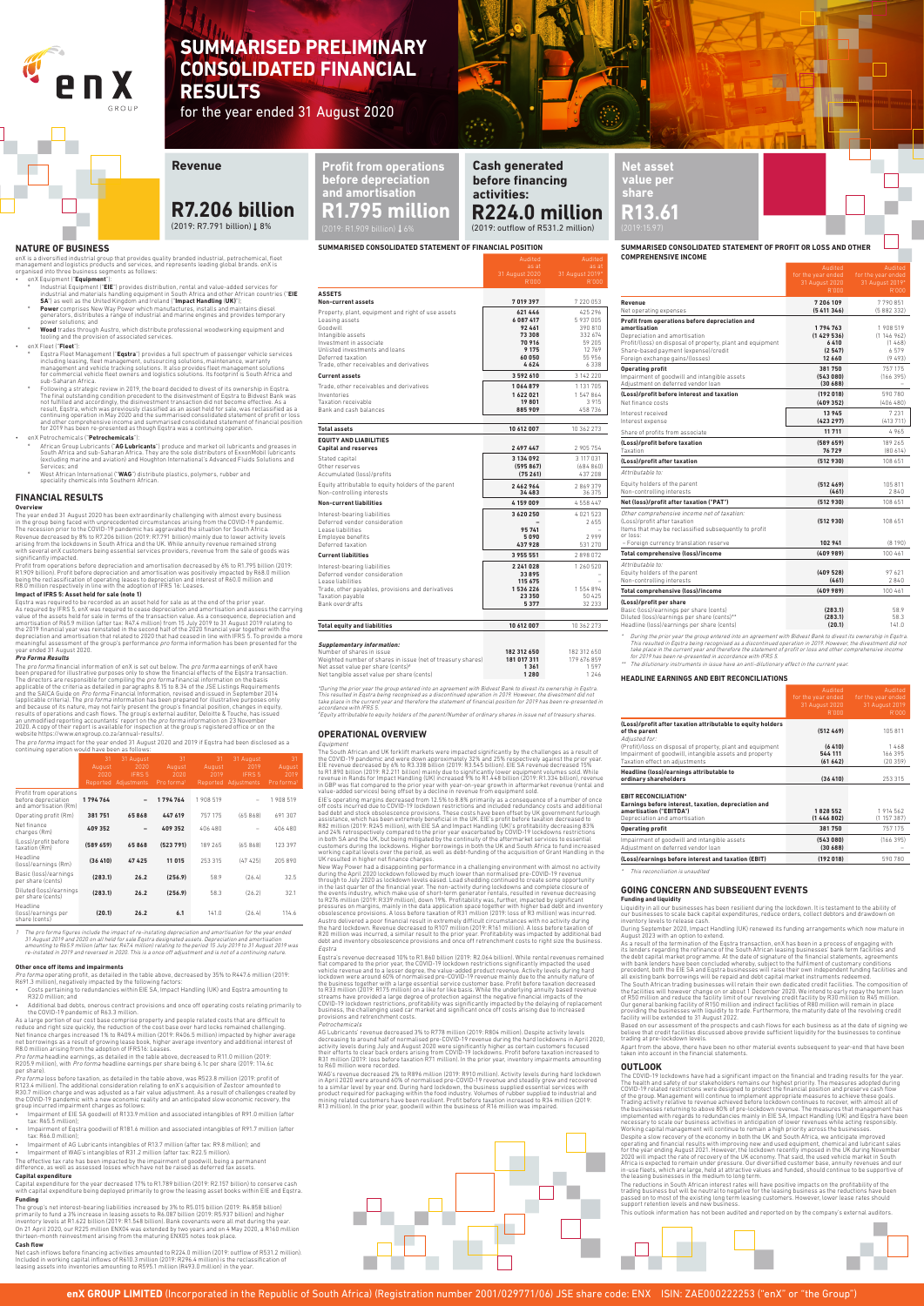**SUMMARISED CONSOLIDATED STATEMENT OF PROFIT OR LOSS AND OTHER COMPREHENSIVE INCOME** 

|                                                                                                                                                                                                                                          | R'000                                              | R'000                                             |
|------------------------------------------------------------------------------------------------------------------------------------------------------------------------------------------------------------------------------------------|----------------------------------------------------|---------------------------------------------------|
| Revenue                                                                                                                                                                                                                                  | 7206109                                            | 7790851                                           |
| Net operating expenses                                                                                                                                                                                                                   | (5411346)                                          | (5882332)                                         |
| Profit from operations before depreciation and<br>amortisation<br>Depreciation and amortisation<br>Profit/(loss) on disposal of property, plant and equipment<br>Share-based payment (expense)/credit<br>Foreign exchange gains/(losses) | 1794763<br>(1429536)<br>6410<br>(2547)<br>12 6 6 0 | 1908 519<br>(1146962)<br>(1468)<br>6579<br>(9493) |
| <b>Operating profit</b><br>Impairment of goodwill and intangible assets<br>Adjustment on deferred vendor loan                                                                                                                            | 381750<br>(543080)<br>(30688)                      | 757 175<br>(166395)                               |
| (Loss)/profit before interest and taxation<br>Net finance costs                                                                                                                                                                          | (192018)<br>(409352)                               | 590 780<br>(406480)                               |
| Interest received<br>Interest expense                                                                                                                                                                                                    | 13 945<br>(423297)                                 | 7 2 3 1<br>(413711)                               |
| Share of profits from associate                                                                                                                                                                                                          | 11 711                                             | 4965                                              |
| (Loss)/profit before taxation<br>Taxation                                                                                                                                                                                                | (589659)<br>76729                                  | 189 265<br>(80614)                                |
| (Loss)/profit after taxation                                                                                                                                                                                                             | (512930)                                           | 108 651                                           |
| Attributable to:                                                                                                                                                                                                                         |                                                    |                                                   |
| Equity holders of the parent<br>Non-controlling interests                                                                                                                                                                                | (512469)<br>(461)                                  | 105811<br>2840                                    |
| Net (loss)/profit after taxation ("PAT")                                                                                                                                                                                                 | (512930)                                           | 108 651                                           |
| Other comprehensive income net of taxation:<br>(Loss)/profit after taxation<br>Items that may be reclassified subsequently to profit<br>or loss:                                                                                         | (512930)                                           | 108 651                                           |
| - Foreign currency translation reserve                                                                                                                                                                                                   | 102 941                                            | (8190)                                            |
| <b>Total comprehensive (loss)/income</b>                                                                                                                                                                                                 | (40998)                                            | 100 461                                           |
| Attributable to:<br>Equity holders of the parent<br>Non-controlling interests                                                                                                                                                            | (409528)<br>(461)                                  | 97621<br>2840                                     |
| <b>Total comprehensive (loss)/income</b>                                                                                                                                                                                                 | (40998)                                            | 100 461                                           |
| (Loss)/profit per share<br>Basic (loss)/earnings per share (cents)<br>Diluted (loss)/earnings per share (cents)**<br>Headline (loss)/earnings per share (cents)                                                                          | (283.1)<br>(283.1)<br>(20.1)                       | 58.9<br>58.3<br>141.0                             |
| the contract of the con-                                                                                                                                                                                                                 |                                                    | .                                                 |

\* During the prior year the group entered into an agreement with Bidvest Bank to divest its ownership in Eqstra.<br>This resulted in Eqstra being recognised as a discontinued operation in 2019. However, the divestment did not

enX is a diversified industrial group that provides quality branded industrial, petrochemical, fleet management and logistics products and services, and represents leading global brands. enX is sed into three business segments as follows:

The dilutionary instruments in issue have an anti-dilutionary effect in the current year.



# **SUMMARISED PRELIMINARY CONSOLIDATED FINANCIAL RESULTS**

for the year ended 31 August 2020

# **NATURE OF BUSINESS**

Eqstra was required to be recorded as an asset held for sale as at the end of the prior year.<br>As required by IFRS 5, enX was required to cease depreciation and amortisation and assess the carrying<br>value of the assets held depreciation and amortisation that related to 2020 that had ceased in line with IFRS 5. To provide a more meaningful assessment of the group's performance pro forma information has been presented for the year ended 31 August 2020.

- enX Equipment ("**Equipment**"):
- Industrial Equipment ("EIE") provides distribution, rental and value-added services for<br>industrial and materials handling equipment in South Africa and other African countries ("EIE<br>SA") as well as the United Kingdom and I
- Wood trades through Austro, which distribute professional woodworking equipment and tooling and the provision of associated services.
- enX Fleet ("**Fleet**"):
- ° Eqstra Fleet Management ("**Eqstra**") provides a full spectrum of passenger vehicle services<br>including leasing, fleet management, outsourcing solutions, maintenance, warranty<br>management and vehicle tracking solutions. It
- º Following a strategic review in 2019, the board decided to divest of its ownership in Eqstra. The final outstanding condition precedent to the disinvestment of Eqstra to Bidvest Bank was<br>not fulfilled and accordingly, the disinvestment transaction did not become effective. As a<br>result, Eqstra, which was previously for 2019 has been re-presented as though Eqstra was a continuing operation.

The pro forma impact for the year ended 31 August 2020 and 2019 if Eqstra had been disclosed as a continuing operation would have been as follows:

# • enX Petrochemicals ("**Petrochemicals**"):

- African Group Lubricants (**"AG Lubricants**") produce and market oil lubricants and greases in<br>South Africa and sub-Saharan Africa. They are the sole distributors of ExxonMobil lubricants<br>(excluding marine and aviation) and
- 

As a large portion of our cost base comprise property and people related costs that are difficult to reduce and right size quickly, the reduction of the cost base over hard locks remained challenging. Net finance charges increased 1% to R409.4 million (2019: R406.5 million) impacted by higher average<br>net borrowings as a result of growing lease book, higher average inventory and additional interest of<br>R8.0 million arisin

# **FINANCIAL RESULTS**

**Overview** The year ended 31 August 2020 has been extraordinarily challenging with almost every business<br>in the group being faced with unprecedented circumstances arising from the COVID-19 pandemic.<br>The recession prior to the COVID-1 with several enX customers being essential services providers, revenue from the sale of goods was significantly impacted.

Profit from operations before depreciation and amortisation decreased by 6% to R1.795 billion (2019:<br>R1.909 billion). Profit before depreciation and amortisation was positively impacted by R68.0 million<br>being the reclassif

*Pro forma* loss before taxation, as detailed in the table above, was R523.8 million (2019: profit of<br>R123.4 million). The additional consideration relating to enX's acquisition of Zestcor amounted to<br>R30.7 million charge group incurred impairment charges as follows:

# **Impact of IFRS 5: Asset held for sale (note 1)**

# **Pro Forma Results**

The *pro forma* financial information of enX is set out below. The *pro forma* earnings of enX have<br>been prepared for illustrative purposes only to show the financial effects of the Eqstra transaction.<br>The directors are r

during the April 2020 lockdown followed by much lower than normalised pre-COVID-19 revenue<br>through to July 2020 as lockdown levels eased. Load shedding continued to create some opportunity<br>in the last quarter of the financ pressures on margins, mainly in the data application space together with higher bad debt and inventory<br>obsolescence provisions. A loss before taxation of R31 million (2019: loss of R3 million) was incurred.<br>Austro delivere Eqstra

Eqstra's revenue decreased 10% to R1.860 billion (2019: R2.064 billion). While rental revenues remained<br>flat compared to the prior year, the COVID-19 lockdown restrictions significantly impacted the used<br>vehicle revenue an the business together with a large essential service customer base. Profit before taxation decreased<br>to R33 million (2019: R175 million) on a like for like basis. While the underlying annuity based revenue<br>streams have pro

|                                                                        | August<br>2020 | 2020<br><b>IFRS 5</b><br>Reported Adjustments | August<br>2020<br>Pro forma <sup>1</sup> | August<br>2019 | 2019<br>IFRS <sub>5</sub><br>Reported Adjustments | August<br>2019<br>Pro forma <sup>1</sup> |
|------------------------------------------------------------------------|----------------|-----------------------------------------------|------------------------------------------|----------------|---------------------------------------------------|------------------------------------------|
| Profit from operations<br>before depreciation<br>and amortisation (Rm) | 1794764        |                                               | 1794764                                  | 1908519        |                                                   | 1908 519                                 |
| Operating profit (Rm)                                                  | 381751         | 65868                                         | 447 619                                  | 757 175        | (65868)                                           | 691 307                                  |
| Net finance<br>charges (Rm)                                            | 409 352        |                                               | 409 352                                  | 406 480        |                                                   | 406 480                                  |
| (Loss)/profit before<br>taxation (Rm)                                  | (589 659)      | 65868                                         | (523791)                                 | 189 265        | (65868)                                           | 123 397                                  |
| Headline<br>(loss)/earnings (Rm)                                       | (36, 410)      | 47425                                         | 11 015                                   | 253 315        | (47425)                                           | 205 890                                  |
| Basic (loss)/earnings<br>per share (cents)                             | (283.1)        | 26.2                                          | (256.9)                                  | 58.9           | (26.4)                                            | 32.5                                     |
| Diluted (loss)/earnings<br>per share (cents)                           | (283.1)        | 26.2                                          | (256.9)                                  | 58.3           | (26.2)                                            | 32.1                                     |
| Headline<br>(loss)/earnings.per<br>share (cents)                       | (20.1)         | 26.2                                          | 6.1                                      | 141.0          | (26.4)                                            | 114.6                                    |

1 The pro forma figures include the impact of re-instating depreciation and amortisation for the year ended 31 August 2019 and 2020 on all held for sale Eqstra designated assets. Depreciation and amortisation amounting to R65.9 million (after tax: R47.4 million) relating to the period 15 July 2019 to 31 August 2019 was

re-instated in 2019 and reversed in 2020. This is a once off adjustment and is not of a continuing nature.

# **Other once off items and impairments**

Pro forma operating profit, as detailed in the table above, decreased by 35% to R447.6 million (2019: R691.3 million), negatively impacted by the following factors:

- Costs pertaining to redundancies within EIE SA, Impact Handling (UK) and Eqstra amounting to R32.0 million; and
- Additional bad debts, onerous contract provisions and once off operating costs relating primarily to the COVID-19 pandemic of R63.3 million.

\*During the prior year the group entered into an agreement with Bidvest Bank to divest its ownership in Eqstra. This resulted in Eqstra being recognised as a discontinued operation in 2019. However, the divestment did not<br>take place in the current year and therefore the statement of financial position for 2019 has been re-presented accordance with IFRS 5

Pro forma headline earnings, as detailed in the table above, decreased to R11.0 million (2019: R205.9 million), with Pro forma headline earnings per share being 6.1c per share (2019: 114.6c per share).

- Impairment of EIE SA goodwill of R133.9 million and associated intangibles of R91.0 million (after tax: R65.5 m
- Impairment of Eqstra goodwill of R181.6 million and associated intangibles of R91.7 million (after tax: R66.0 million);
- Impairment of AG Lubricants intangibles of R13.7 million (after tax: R9.8 million); and
- Impairment of WAG's intangibles of R31.2 million (after tax: R22.5 million).

The effective tax rate has been impacted by the impairment of goodwill, being a permanent difference, as well as assessed losses which have not be raised as deferred tax assets.

The South African trading businesses will retain their own dedicated credit facilities. The composition of<br>the facilities will however change on or about 1 December 2020. We intend to early repay the term loan<br>of R50 milli providing the businesses with liquidity to trade. Furthermore, the maturity date of the revolving credit facility will be extended to 31 August 2022.

Based on our assessment of the prospects and cash flows for each business as at the date of signing we<br>believe that credit facilities discussed above provide sufficient liquidity for the businesses to continue<br>trading at p

**Capital expenditure** Capital expenditure for the year decreased 17% to R1.789 billion (2019: R2.157 billion) to conserve cash with capital expenditure being deployed primarily to grow the leasing asset books within EIE and Eqstra.

# **R1.795 million Revenue Profit from operations before depreciation and amortisation**

**Funding** net interest-bearing liabilities increased by 3% to R5.015 billion (2019: R4.858 bill primarily to fund a 3% increase in leasing assets to R6.087 billion (2019: R5.937 billion) and higher inventory levels at R1.622 billion (2019: R1.548 billion). Bank covenants were all met during the year. On 21 April 2020, our R225 million ENX04 was extended by two years and on 4 May 2020, a R160 million thirteen-month reinvestment arising from the maturing ENX05 notes took place.

### **Cash flow**

Net cash inflows before financing activities amounted to R224.0 million (2019: outflow of R531.2 million).<br>Included in working capital inflows of R610.3 million (2019: R296.4 million) is the reclassification of<br>leasing ass

# **OPERATIONAL OVERVIEW**

Equipment<br>
Equipment<br>
The South African and UK forklift markets were impacted significantly by the challenges as a result of<br>
The COVID-19 pandemic and were down approximately 32% and 25% respectively against the prior yea

### Petrochemicals

AG Lubricants' revenue decreased 3% to R778 million (2019: R804 million). Despite activity levels<br>decreasing to around half of normalised pre-COVID-19 revenue during the hard lockdowns in April 2020,<br>activity levels during

WAG's revenue decreased 2% to R896 million (2019: R910 million). Activity levels during hard lockdown in April 2020 were around 60% of normalised pre-COVID-19 revenue and steadily grew and recovered<br>to a similar level by year end. During hard lockdown, the business supplied essential services with<br>product required for pack R13 million). In the prior year, goodwill within the business of R16 million was impaired.



**SUMMARISED CONSOLIDATED STATEMENT OF FINANCIAL POSITION**

as at

|                                                     | UT August ZUZU      | <b>DI August ZUT7</b> |
|-----------------------------------------------------|---------------------|-----------------------|
|                                                     | R'000               | R'000                 |
| <b>ASSETS</b>                                       |                     |                       |
| Non-current assets                                  | 7019397             | 7 220 053             |
| Property, plant, equipment and right of use assets  | 621446              | 425 296               |
| Leasing assets                                      | 6087417             | 5 937 005             |
| Goodwill                                            | 92461               | 390 810               |
| Intangible assets                                   | 73 308              | 332 674               |
| Investment in associate                             | 70916               | 59 205                |
| Unlisted investments and loans<br>Deferred taxation | 9 1 7 5<br>60050    | 12769<br>55 956       |
| Trade, other receivables and derivatives            | 4624                | 6338                  |
|                                                     |                     | 3 142 220             |
| <b>Current assets</b>                               | 3592610             |                       |
| Trade, other receivables and derivatives            | 1064879             | 1 131 705             |
| Inventories                                         | 1622021             | 1547864               |
| Taxation receivable<br>Bank and cash balances       | 19801<br>885 909    | 3915<br>458736        |
|                                                     |                     |                       |
| <b>Total assets</b>                                 | 10 612 007          | 10 362 273            |
| <b>EQUITY AND LIABILITIES</b>                       |                     |                       |
| <b>Capital and reserves</b>                         | 2497447             | 2905754               |
| Stated capital                                      | 3 134 092           | 3 117 0 31            |
| Other reserves                                      | (595867)            | (684860)              |
| Accumulated (loss)/profits                          | (75261)             | 437 208               |
| Equity attributable to equity holders of the parent | 2462964             | 2869379               |
| Non-controlling interests                           | 34 483              | 36375                 |
| <b>Non-current liabilities</b>                      | 4159009             | 4558447               |
| Interest-bearing liabilities                        | 3620250             | 4021523               |
| Deferred vendor consideration                       |                     | 2655                  |
| Lease liabilities                                   | 95 741              |                       |
| Employee benefits                                   | 5090                | 2999                  |
| Deferred taxation                                   | 437928              | 531 270               |
| <b>Current liabilities</b>                          | 3955551             | 2898072               |
| Interest-bearing liabilities                        | 2 2 4 1 0 2 8       | 1 260 520             |
| Deferred vendor consideration                       | 33895               |                       |
| Lease liabilities                                   | 115 675             |                       |
| Trade, other payables, provisions and derivatives   | 1536226<br>23 3 5 0 | 1554894               |
| Taxation payable<br><b>Bank overdrafts</b>          | 5377                | 50 425<br>32 2 3 3    |
|                                                     |                     |                       |
| <b>Total equity and liabilities</b>                 | 10 612 007          | 10 362 273            |
|                                                     |                     |                       |
| <b>Supplementary information:</b>                   |                     |                       |
| Number of shares in issue                           | 182 312 450         | 182 312 450           |

| 182 312 650                                                                 | 182 312 650 |
|-----------------------------------------------------------------------------|-------------|
| Weighted number of shares in issue (net of treasury shares).<br>181 017 311 | 179 676 859 |
| 1361                                                                        | 1597        |
| 1 2 8 0                                                                     | 1 246       |
|                                                                             |             |

#Equity attributable to equity holders of the parent/Number of ordinary shares in issue net of treasury shares.

## **HEADLINE EARNINGS AND EBIT RECONCILIATIONS**

|                                                                                                                                                        | Tor the vear ended<br>31 August 2020<br>R'000 | Tor the vear ended<br>31 August 2019<br>R'000 |
|--------------------------------------------------------------------------------------------------------------------------------------------------------|-----------------------------------------------|-----------------------------------------------|
| (Loss)/profit after taxation attributable to equity holders<br>of the parent<br>Adiusted for:                                                          | (512469)                                      | 105 811                                       |
| (Profit)/loss on disposal of property, plant and equipment<br>Impairment of goodwill, intangible assets and property<br>Taxation effect on adjustments | (6410)<br>544 111<br>(61642)                  | 1468<br>166 395<br>(20359)                    |
| Headline (loss)/earnings attributable to<br>ordinary shareholders                                                                                      | (36, 410)                                     | 253 315                                       |
| <b>EBIT RECONCILIATION*</b>                                                                                                                            |                                               |                                               |
| Earnings before interest, taxation, depreciation and<br>amortisation ("EBITDA")<br>Depreciation and amortisation                                       | 1828552<br>(1446802)                          | 1914562<br>(1157387)                          |
| <b>Operating profit</b>                                                                                                                                | 381750                                        | 757 175                                       |
| Impairment of goodwill and intangible assets<br>Adjustment on deferred vendor loan                                                                     | (543080)<br>(30688)                           | (166395)                                      |
| (Loss)/earnings before interest and taxation (EBIT)                                                                                                    | (192018)                                      | 590 780                                       |

\* This reconciliation is unaudited

## **GOING CONCERN AND SUBSEQUENT EVENTS Funding and liquidity**

Liquidity in all our businesses has been resilient during the lockdown. It is testament to the ability of<br>our businesses to scale back capital expenditures, reduce orders, collect debtors and drawdown on<br>inventory levels t

August 2023 with an option to extend.

As a result of the termination of the Eqstra transaction, enX has been in a process of engaging with<br>tis lenders regarding the refinance of the South African leasing businesses' bank term facilities and<br>the debt capital ma

Apart from the above, there have been no other material events subsequent to year-end that have been taken into account in the financial statements.

# **Cash generated before financing activities: R224.0 million**  (2019: outflow of R531.2 million)

# **OUTLOOK**

The COVID-19 lockdowns have had a significant impact on the financial and trading results for the year.<br>The health and safety of our stakeholders remains our highest priority. The measures adopted during<br>COVID-19 related r

Despite a slow recovery of the economy in both the UK and South Africa, we anticipate improved<br>operating and financial results with improving new and used equipment, chemical and lubricant sales<br>for the year ending August

**Net asset value per share R13.61** 

This outlook information has not been audited and reported on by the company's external auditors.



# **R7.206 billion**

(2019: R7.791 billion)↓8% (2019: R1.909 billion)↓6% (2019: R7.791 billion)  $\downarrow$  8%